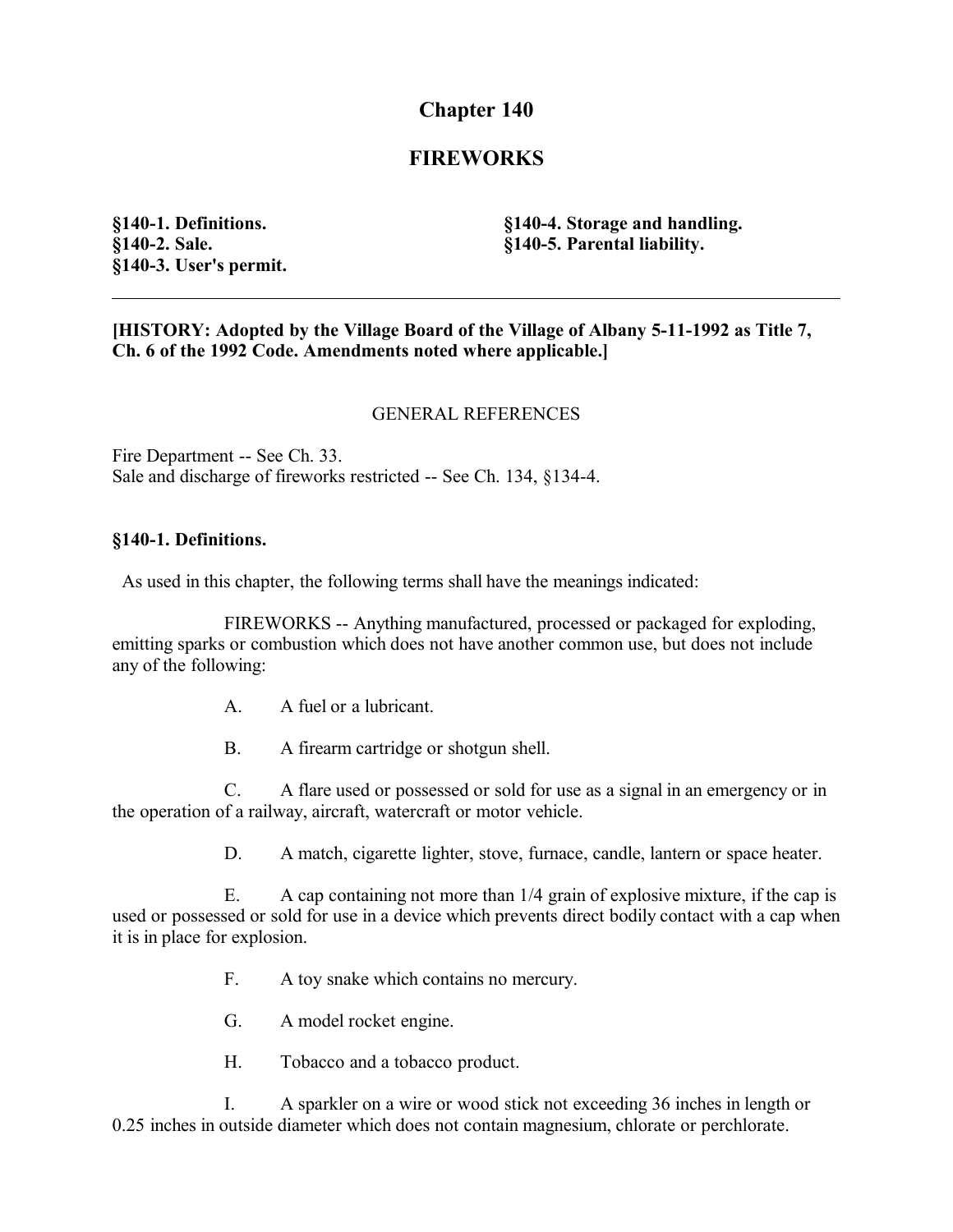# **Chapter 140**

# **FIREWORKS**

**§140-1. Definitions. §140-2. Sale. §140-3. User's permit.** **§140-4. Storage and handling. §140-5. Parental liability.**

### **[HISTORY: Adopted by the Village Board of the Village of Albany 5-11-1992 as Title 7, Ch. 6 of the 1992 Code. Amendments noted where applicable.]**

### GENERAL REFERENCES

Fire Department -- See Ch. 33. Sale and discharge of fireworks restricted -- See Ch. 134, §134-4.

#### **§140-1. Definitions.**

As used in this chapter, the following terms shall have the meanings indicated:

FIREWORKS -- Anything manufactured, processed or packaged for exploding, emitting sparks or combustion which does not have another common use, but does not include any of the following:

- A. A fuel or a lubricant.
- B. A firearm cartridge or shotgun shell.

C. A flare used or possessed or sold for use as a signal in an emergency or in the operation of a railway, aircraft, watercraft or motor vehicle.

D. A match, cigarette lighter, stove, furnace, candle, lantern or space heater.

E. A cap containing not more than 1/4 grain of explosive mixture, if the cap is used or possessed or sold for use in a device which prevents direct bodily contact with a cap when it is in place for explosion.

- F. A toy snake which contains no mercury.
- G. A model rocket engine.
- H. Tobacco and a tobacco product.

I. A sparkler on a wire or wood stick not exceeding 36 inches in length or 0.25 inches in outside diameter which does not contain magnesium, chlorate or perchlorate.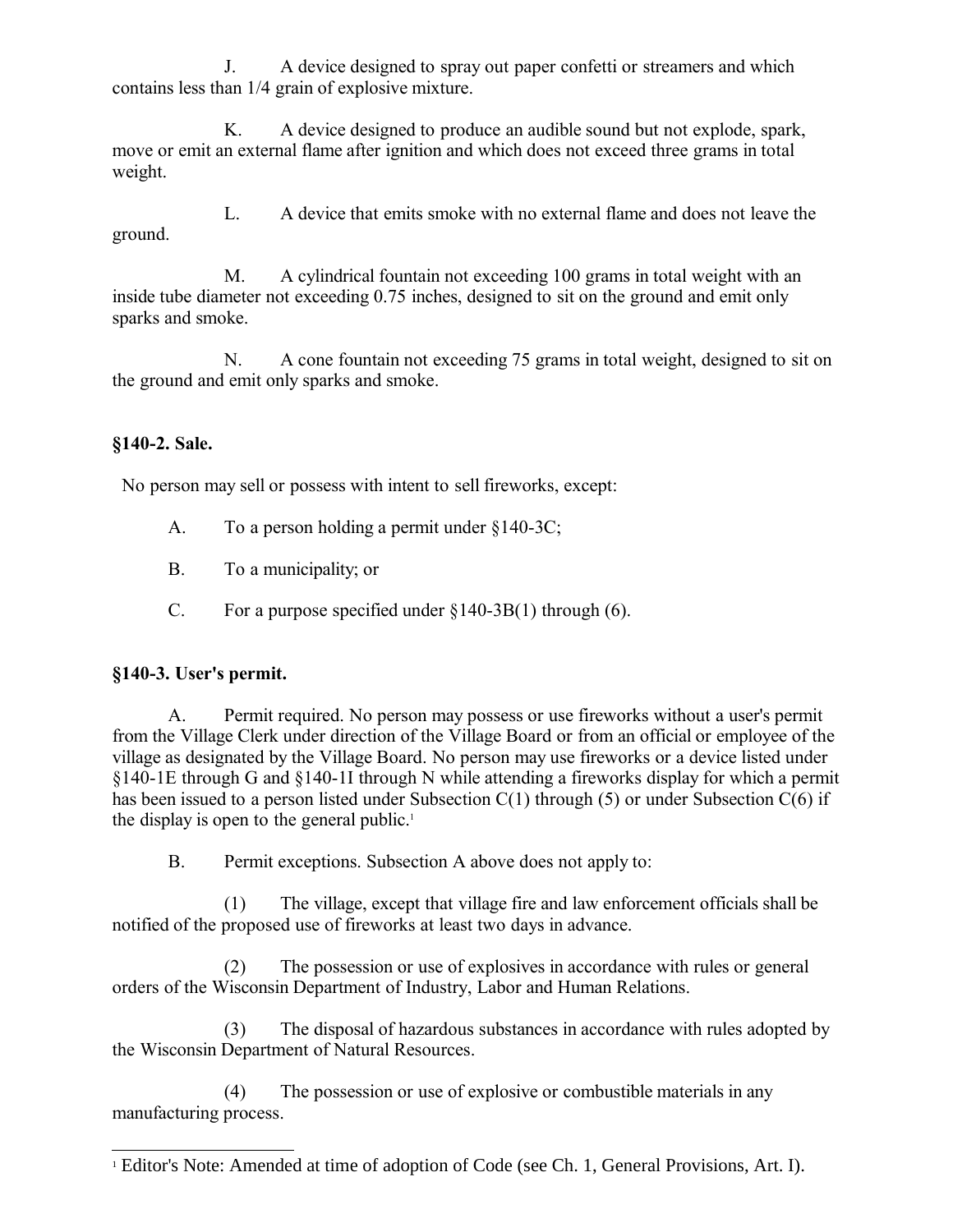J. A device designed to spray out paper confetti or streamers and which contains less than 1/4 grain of explosive mixture.

K. A device designed to produce an audible sound but not explode, spark, move or emit an external flame after ignition and which does not exceed three grams in total weight.

L. A device that emits smoke with no external flame and does not leave the ground.

M. A cylindrical fountain not exceeding 100 grams in total weight with an inside tube diameter not exceeding 0.75 inches, designed to sit on the ground and emit only sparks and smoke.

N. A cone fountain not exceeding 75 grams in total weight, designed to sit on the ground and emit only sparks and smoke.

## **§140-2. Sale.**

No person may sell or possess with intent to sell fireworks, except:

- A. To a person holding a permit under §140-3C;
- B. To a municipality; or
- C. For a purpose specified under  $\S 140-3B(1)$  through (6).

## **§140-3. User's permit.**

A. Permit required. No person may possess or use fireworks without a user's permit from the Village Clerk under direction of the Village Board or from an official or employee of the village as designated by the Village Board. No person may use fireworks or a device listed under §140-1E through G and §140-1I through N while attending a fireworks display for which a permit has been issued to a person listed under Subsection  $C(1)$  through (5) or under Subsection  $C(6)$  if the display is open to the general public.<sup>[1](#page-1-0)</sup>

B. Permit exceptions. Subsection A above does not apply to:

(1) The village, except that village fire and law enforcement officials shall be notified of the proposed use of fireworks at least two days in advance.

(2) The possession or use of explosives in accordance with rules or general orders of the Wisconsin Department of Industry, Labor and Human Relations.

(3) The disposal of hazardous substances in accordance with rules adopted by the Wisconsin Department of Natural Resources.

(4) The possession or use of explosive or combustible materials in any manufacturing process.

<span id="page-1-0"></span><sup>&</sup>lt;sup>1</sup> Editor's Note: Amended at time of adoption of Code (see Ch. 1, General Provisions, Art. I).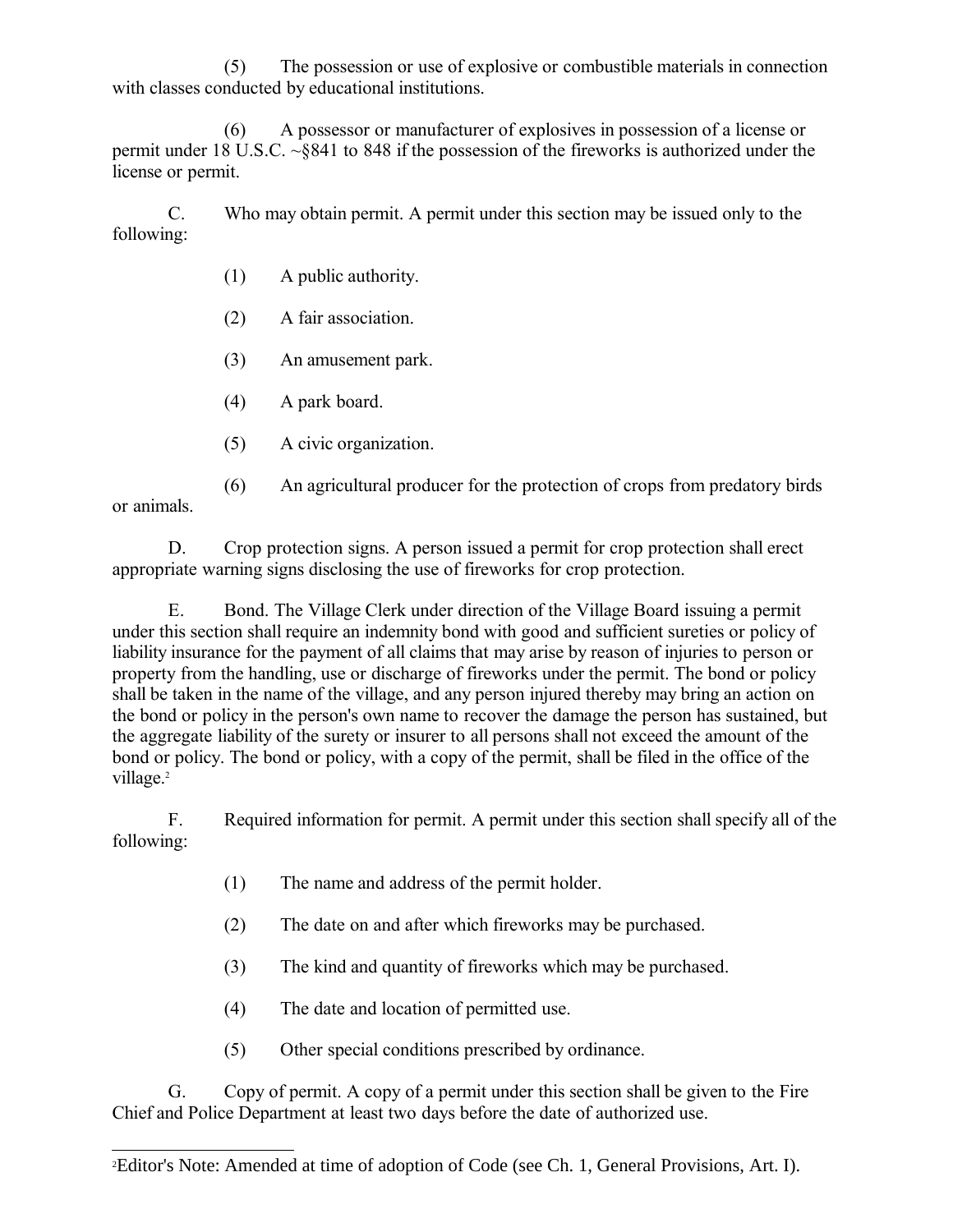(5) The possession or use of explosive or combustible materials in connection with classes conducted by educational institutions.

(6) A possessor or manufacturer of explosives in possession of a license or permit under 18 U.S.C. ~§841 to 848 if the possession of the fireworks is authorized under the license or permit.

C. Who may obtain permit. A permit under this section may be issued only to the following:

- (1) A public authority.
- (2) A fair association.
- (3) An amusement park.
- (4) A park board.
- (5) A civic organization.

(6) An agricultural producer for the protection of crops from predatory birds or animals.

D. Crop protection signs. A person issued a permit for crop protection shall erect appropriate warning signs disclosing the use of fireworks for crop protection.

E. Bond. The Village Clerk under direction of the Village Board issuing a permit under this section shall require an indemnity bond with good and sufficient sureties or policy of liability insurance for the payment of all claims that may arise by reason of injuries to person or property from the handling, use or discharge of fireworks under the permit. The bond or policy shall be taken in the name of the village, and any person injured thereby may bring an action on the bond or policy in the person's own name to recover the damage the person has sustained, but the aggregate liability of the surety or insurer to all persons shall not exceed the amount of the bond or policy. The bond or policy, with a copy of the permit, shall be filed in the office of the village.<sup>[2](#page-2-0)</sup>

F. Required information for permit. A permit under this section shall specify all of the following:

- (1) The name and address of the permit holder.
- (2) The date on and after which fireworks may be purchased.
- (3) The kind and quantity of fireworks which may be purchased.
- (4) The date and location of permitted use.
- (5) Other special conditions prescribed by ordinance.

G. Copy of permit. A copy of a permit under this section shall be given to the Fire Chief and Police Department at least two days before the date of authorized use.

<span id="page-2-0"></span><sup>2</sup>Editor's Note: Amended at time of adoption of Code (see Ch. 1, General Provisions, Art. I).